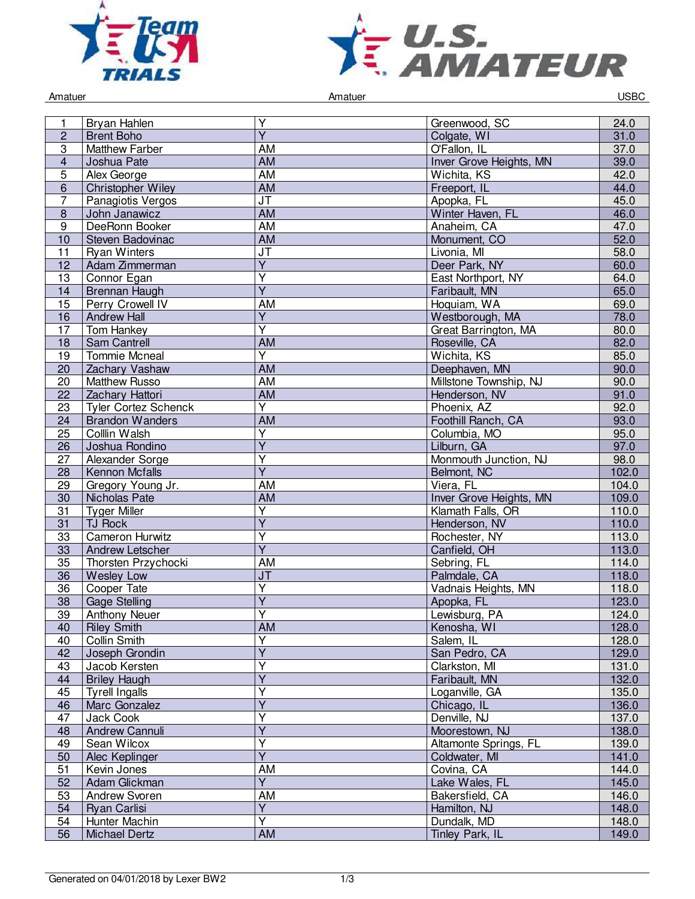



Amatuer USBC and the Contract of Amatuer Amatuer Amatuer Contract of the USBC and the USBC and the USBC and the USBC

| 1              | Bryan Hahlen                     | Υ                                         | Greenwood, SC                  | 24.0           |
|----------------|----------------------------------|-------------------------------------------|--------------------------------|----------------|
| $\overline{c}$ | <b>Brent Boho</b>                | $\overline{Y}$                            | Colgate, WI                    | 31.0           |
| $\overline{3}$ | <b>Matthew Farber</b>            | <b>AM</b>                                 | O'Fallon, IL                   | 37.0           |
| $\overline{4}$ | Joshua Pate                      | <b>AM</b>                                 | Inver Grove Heights, MN        | 39.0           |
| 5              | Alex George                      | <b>AM</b>                                 | Wichita, KS                    | 42.0           |
| $6\phantom{1}$ | <b>Christopher Wiley</b>         | AM                                        | Freeport, IL                   | 44.0           |
| 7              | Panagiotis Vergos                | JT                                        | Apopka, FL                     | 45.0           |
| $\bf 8$        | John Janawicz                    | <b>AM</b>                                 | Winter Haven, FL               | 46.0           |
| $\overline{9}$ | DeeRonn Booker                   | <b>AM</b>                                 | Anaheim, CA                    | 47.0           |
| 10             | Steven Badovinac                 | <b>AM</b>                                 | Monument, CO                   | 52.0           |
| 11             | <b>Ryan Winters</b>              | $\overline{\mathsf{J}\mathsf{T}}$         | Livonia, MI                    | 58.0           |
| 12             | Adam Zimmerman                   | $\overline{Y}$                            | Deer Park, NY                  | 60.0           |
| 13             | Connor Egan                      | $\overline{\mathsf{Y}}$                   | East Northport, NY             | 64.0           |
| 14             | Brennan Haugh                    | $\overline{Y}$                            | Faribault, MN                  | 65.0           |
| 15             | Perry Crowell IV                 | <b>AM</b>                                 | Hoquiam, WA                    | 69.0           |
| 16             | <b>Andrew Hall</b>               | $\overline{Y}$                            | Westborough, MA                | 78.0           |
| 17             | Tom Hankey                       | $\overline{\mathsf{Y}}$                   | Great Barrington, MA           | 80.0           |
| 18             | Sam Cantrell                     | <b>AM</b>                                 | Roseville, CA                  | 82.0           |
| 19             | Tommie Mcneal                    | Y                                         | Wichita, KS                    | 85.0           |
| 20             | Zachary Vashaw                   | <b>AM</b>                                 | Deephaven, MN                  | 90.0           |
| 20             | <b>Matthew Russo</b>             | <b>AM</b>                                 | Millstone Township, NJ         | 90.0           |
| 22             | Zachary Hattori                  | <b>AM</b>                                 | Henderson, NV                  | 91.0           |
| 23             | <b>Tyler Cortez Schenck</b>      | $\overline{Y}$                            | Phoenix, AZ                    | 92.0           |
| 24             | <b>Brandon Wanders</b>           | AM                                        | Foothill Ranch, CA             | 93.0           |
| 25             | <b>Collin Walsh</b>              | $\overline{\mathsf{Y}}$                   | Columbia, MO                   | 95.0           |
| 26             | Joshua Rondino                   | $\overline{\mathsf{Y}}$                   | Lilburn, GA                    | 97.0           |
|                | Alexander Sorge                  | Υ                                         | Monmouth Junction, NJ          |                |
| 27<br>28       | <b>Kennon Mcfalls</b>            | $\overline{Y}$                            | Belmont, NC                    | 98.0<br>102.0  |
| 29             | Gregory Young Jr.                | <b>AM</b>                                 | Viera, FL                      | 104.0          |
| 30             | Nicholas Pate                    | <b>AM</b>                                 | <b>Inver Grove Heights, MN</b> | 109.0          |
| 31             | <b>Tyger Miller</b>              | $\overline{Y}$                            | Klamath Falls, OR              | 110.0          |
| 31             | <b>TJ Rock</b>                   | $\overline{Y}$                            | Henderson, NV                  | 110.0          |
| 33             | Cameron Hurwitz                  | $\overline{\mathsf{Y}}$                   | Rochester, NY                  | 113.0          |
| 33             | Andrew Letscher                  | $\overline{Y}$                            | Canfield, OH                   | 113.0          |
| 35             | Thorsten Przychocki              | AM                                        | Sebring, FL                    | 114.0          |
| 36             |                                  | <b>JT</b>                                 | Palmdale, CA                   | 118.0          |
| 36             | <b>Wesley Low</b><br>Cooper Tate | $\overline{Y}$                            | Vadnais Heights, MN            | 118.0          |
|                |                                  | $\overline{\mathsf{Y}}$                   |                                |                |
| 38<br>39       | <b>Gage Stelling</b>             | Υ                                         | Apopka, FL<br>Lewisburg, PA    | 123.0<br>124.0 |
|                | <b>Anthony Neuer</b>             |                                           |                                |                |
| 40             | <b>Riley Smith</b>               | AM<br>$\overline{\mathsf{Y}}$             | Kenosha, WI                    | 128.0          |
| 40<br>42       | Collin Smith<br>Joseph Grondin   | $\overline{Y}$                            | Salem, IL<br>San Pedro, CA     | 128.0<br>129.0 |
|                | Jacob Kersten                    | $\overline{\mathsf{Y}}$                   |                                |                |
| 43             |                                  | $\overline{Y}$                            | Clarkston, MI                  | 131.0          |
| 44             | <b>Briley Haugh</b>              |                                           | Faribault, MN                  | 132.0          |
| 45             | <b>Tyrell Ingalls</b>            | Υ<br>$\overline{Y}$                       | Loganville, GA                 | 135.0          |
| 46             | Marc Gonzalez                    | Ÿ                                         | Chicago, IL                    | 136.0          |
| 47             | Jack Cook                        |                                           | Denville, NJ                   | 137.0          |
| 48             | Andrew Cannuli                   | $\overline{\mathsf{Y}}$                   | Moorestown, NJ                 | 138.0          |
| 49             | Sean Wilcox                      | $\overline{Y}$<br>$\overline{\mathsf{Y}}$ | Altamonte Springs, FL          | 139.0          |
| 50             | Alec Keplinger                   |                                           | Coldwater, MI                  | 141.0          |
| 51             | Kevin Jones                      | AM<br>$\overline{Y}$                      | Covina, CA                     | 144.0          |
| 52             | Adam Glickman                    |                                           | Lake Wales, FL                 | 145.0          |
| 53             | Andrew Svoren                    | AM                                        | Bakersfield, CA                | 146.0          |
| 54             | Ryan Carlisi                     | $\overline{Y}$<br>$\overline{\mathsf{Y}}$ | Hamilton, NJ                   | 148.0          |
| 54             | Hunter Machin                    |                                           | Dundalk, MD                    | 148.0          |
| 56             | <b>Michael Dertz</b>             | AM                                        | Tinley Park, IL                | 149.0          |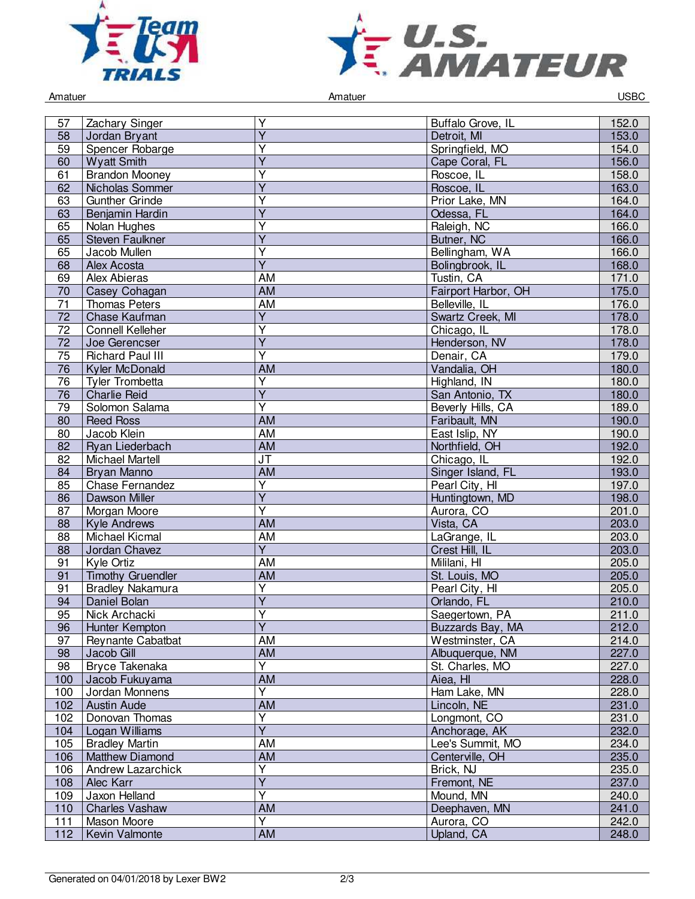



| Amatuer         |                          |                         | Amatuer             | <b>USBC</b> |
|-----------------|--------------------------|-------------------------|---------------------|-------------|
|                 |                          |                         |                     |             |
| 57              | Zachary Singer           | Υ                       | Buffalo Grove, IL   | 152.0       |
| 58              | Jordan Bryant            | $\overline{Y}$          | Detroit, MI         | 153.0       |
| $\overline{59}$ | Spencer Robarge          | Ÿ                       | Springfield, MO     | 154.0       |
| 60              | <b>Wyatt Smith</b>       | $\overline{Y}$          | Cape Coral, FL      | 156.0       |
| 61              | <b>Brandon Mooney</b>    | $\overline{\mathsf{Y}}$ | Roscoe, IL          | 158.0       |
| 62              | Nicholas Sommer          | Y                       | Roscoe, IL          | 163.0       |
| 63              | <b>Gunther Grinde</b>    | $\overline{\mathsf{Y}}$ | Prior Lake, MN      | 164.0       |
| 63              | Benjamin Hardin          | $\overline{\mathsf{Y}}$ | Odessa, FL          | 164.0       |
| 65              | Nolan Hughes             | Υ                       | Raleigh, NC         | 166.0       |
| 65              | Steven Faulkner          | Y                       | Butner, NC          | 166.0       |
| 65              | Jacob Mullen             | Υ                       | Bellingham, WA      | 166.0       |
|                 |                          | $\overline{\mathsf{Y}}$ |                     |             |
| 68              | <b>Alex Acosta</b>       |                         | Bolingbrook, IL     | 168.0       |
| 69              | Alex Abieras             | <b>AM</b>               | Tustin, CA          | 171.0       |
| $\overline{70}$ | Casey Cohagan            | <b>AM</b>               | Fairport Harbor, OH | 175.0       |
| 71              | <b>Thomas Peters</b>     | <b>AM</b>               | Belleville, IL      | 176.0       |
| 72              | Chase Kaufman            | $\overline{\mathsf{Y}}$ | Swartz Creek, MI    | 178.0       |
| 72              | <b>Connell Kelleher</b>  | Ÿ                       | Chicago, IL         | 178.0       |
| 72              | Joe Gerencser            | $\overline{Y}$          | Henderson, NV       | 178.0       |
| $\overline{75}$ | <b>Richard Paul III</b>  | Ÿ                       | Denair, CA          | 179.0       |
| 76              | <b>Kyler McDonald</b>    | AM                      | Vandalia, OH        | 180.0       |
| 76              | Tyler Trombetta          | Y                       | Highland, IN        | 180.0       |
| 76              | <b>Charlie Reid</b>      | $\overline{Y}$          | San Antonio, TX     | 180.0       |
| 79              | Solomon Salama           | $\overline{\mathsf{Y}}$ | Beverly Hills, CA   | 189.0       |
| 80              | <b>Reed Ross</b>         | <b>AM</b>               | Faribault, MN       | 190.0       |
| 80              | Jacob Klein              | AM                      | East Islip, NY      | 190.0       |
| 82              | Ryan Liederbach          | AM                      | Northfield, OH      | 192.0       |
| 82              | <b>Michael Martell</b>   | <b>JT</b>               | Chicago, IL         | 192.0       |
| 84              | <b>Bryan Manno</b>       | <b>AM</b>               | Singer Island, FL   | 193.0       |
| 85              | <b>Chase Fernandez</b>   | Y                       | Pearl City, HI      | 197.0       |
| 86              | Dawson Miller            | Ÿ                       | Huntingtown, MD     | 198.0       |
| 87              | Morgan Moore             | Υ                       | Aurora, CO          | 201.0       |
| 88              | <b>Kyle Andrews</b>      | <b>AM</b>               | Vista, CA           | 203.0       |
| 88              | <b>Michael Kicmal</b>    | AM                      | LaGrange, IL        | 203.0       |
| 88              | Jordan Chavez            | $\overline{Y}$          | Crest Hill, IL      | 203.0       |
| 91              | Kyle Ortiz               | AM                      | Mililani, HI        | 205.0       |
| 91              | <b>Timothy Gruendler</b> | <b>AM</b>               | St. Louis, MO       | 205.0       |
|                 | <b>Bradley Nakamura</b>  | $\overline{Y}$          |                     | 205.0       |
| 91              |                          | $\overline{Y}$          | Pearl City, HI      |             |
| 94              | Daniel Bolan             | $\overline{\mathsf{Y}}$ | Orlando, FL         | 210.0       |
| 95              | Nick Archacki            |                         | Saegertown, PA      | 211.0       |
| 96              | Hunter Kempton           | $\overline{\mathsf{Y}}$ | Buzzards Bay, MA    | 212.0       |
| 97              | <b>Reynante Cabatbat</b> | AM                      | Westminster, CA     | 214.0       |
| 98              | Jacob Gill               | AM                      | Albuquerque, NM     | 227.0       |
| 98              | Bryce Takenaka           | Y                       | St. Charles, MO     | 227.0       |
| 100             | Jacob Fukuyama           | $\overline{AM}$         | Aiea, HI            | 228.0       |
| 100             | Jordan Monnens           | $\overline{\mathsf{Y}}$ | Ham Lake, MN        | 228.0       |
| 102             | Austin Aude              | <b>AM</b>               | Lincoln, NE         | 231.0       |
| 102             | Donovan Thomas           | $\overline{\mathsf{Y}}$ | Longmont, CO        | 231.0       |
| 104             | Logan Williams           | $\overline{\mathsf{Y}}$ | Anchorage, AK       | 232.0       |
| 105             | <b>Bradley Martin</b>    | AM                      | Lee's Summit, MO    | 234.0       |
| 106             | Matthew Diamond          | AM                      | Centerville, OH     | 235.0       |
| 106             | Andrew Lazarchick        | Υ                       | Brick, NJ           | 235.0       |
| 108             | Alec Karr                | $\overline{Y}$          | Fremont, NE         | 237.0       |
| 109             | Jaxon Helland            | Y                       | Mound, MN           | 240.0       |
| 110             | <b>Charles Vashaw</b>    | <b>AM</b>               | Deephaven, MN       | 241.0       |
| 111             | Mason Moore              | $\overline{\mathsf{Y}}$ | Aurora, CO          | 242.0       |
| 112             | Kevin Valmonte           | AM                      | Upland, CA          | 248.0       |